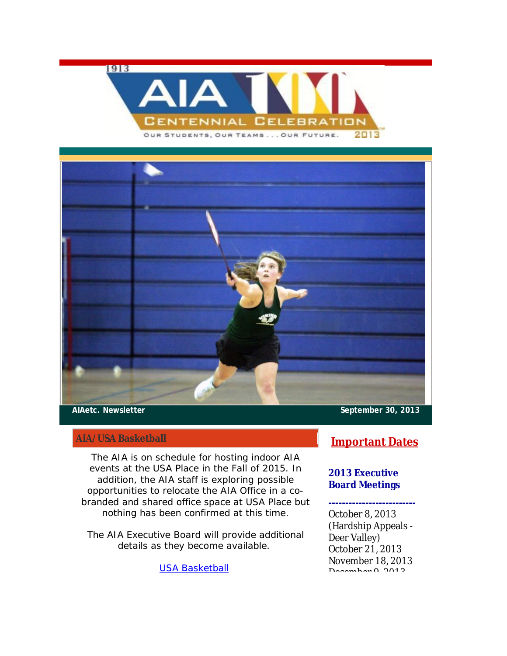1913





## **AIA/USA Basketball**

The AIA is on schedule for hosting indoor AIA events at the USA Place in the Fall of 2015. In addition, the AIA staff is exploring possible opportunities to relocate the AIA Office in a cobranded and shared office space at USA Place but nothing has been confirmed at this time.

The AIA Executive Board will provide additional details as they become available.

USA Basketball

**AIAetc. Newsletter September 30, 2013**

## **Important Dates**

## **2013 Executive Board Meetings**

## **--------------------------**

October 8, 2013 (Hardship Appeals -Deer Valley) October 21, 2013 November 18, 2013 December 0, 2012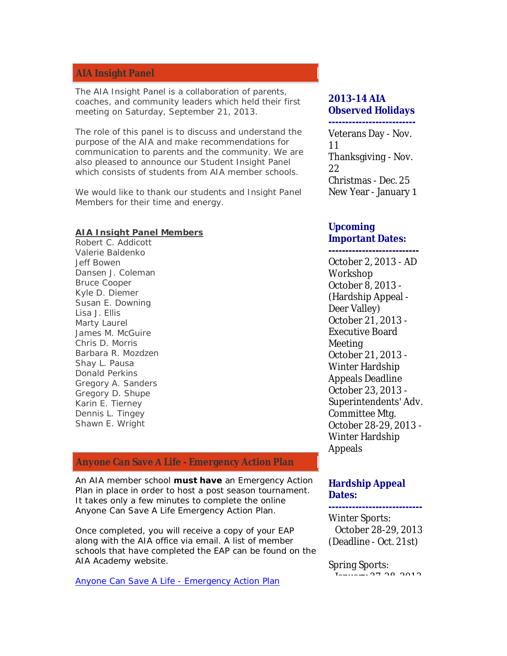## **AIA Insight Panel**

The AIA Insight Panel is a collaboration of parents, coaches, and community leaders which held their first meeting on Saturday, September 21, 2013.

The role of this panel is to discuss and understand the purpose of the AIA and make recommendations for communication to parents and the community. We are also pleased to announce our Student Insight Panel which consists of students from AIA member schools.

We would like to thank our students and Insight Panel Members for their time and energy.

**AIA Insight Panel Members** Robert C. Addicott Valerie Baldenko Jeff Bowen Dansen J. Coleman Bruce Cooper Kyle D. Diemer Susan E. Downing Lisa J. Ellis Marty Laurel James M. McGuire Chris D. Morris Barbara R. Mozdzen Shay L. Pausa Donald Perkins Gregory A. Sanders Gregory D. Shupe Karin E. Tierney Dennis L. Tingey Shawn E. Wright

## **Anyone Can SaveLife - Emergency Action Plan**

An AIA member school **must have** an Emergency Action Plan in place in order to host a post season tournament. It takes only a few minutes to complete the online Anyone Can Save A Life Emergency Action Plan.

Once completed, you will receive a copy of your EAP along with the AIA office via email. A list of member schools that have completed the EAP can be found on the AIA Academy website.

Anyone Can Save A Life - Emergency Action Plan

# **2013-14 AIA Observed Holidays**

#### **--------------------------** Veterans Day - Nov.

11 Thanksgiving - Nov. 22 Christmas - Dec. 25 New Year - January 1

## **Upcoming Important Dates:**

**---------------------------** October 2, 2013 - AD Workshop October 8, 2013 -(Hardship AppealǦ Deer Valley) October 21, 2013 -Executive Board Meeting October 21, 2013 -Winter Hardship Appeals Deadline October 23, 2013 -Superintendents' Adv. Committee Mtg. October 28-29, 2013 -

Winter Hardship Appeals

## **Hardship Appeal Dates:**

Winter Sports: October 28-29, 2013 (Deadline - Oct. 21st)

**----------------------------**

#### Spring Sports:  $J_{2}$  $J_{2}$  $J_{3}$  $J_{4}$  $J_{5}$  $J_{6}$  $J_{7}$  $J_{8}$  $J_{9}$  $J_{10}$  $J_{11}$  $J_{10}$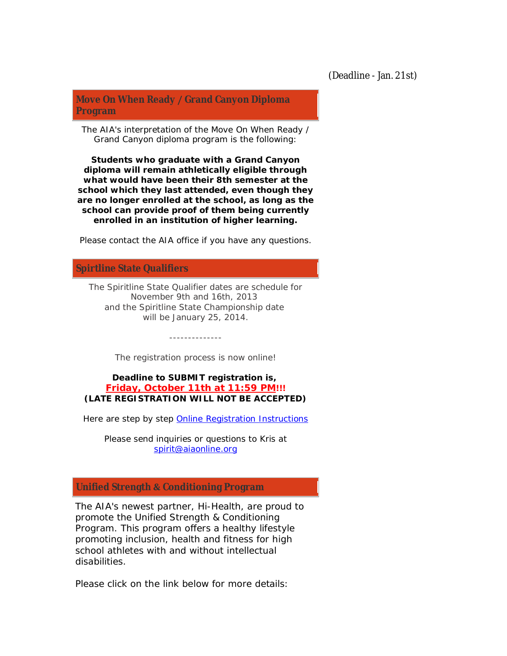**Move On When ReadyȀGrand Canyon Diploma Program**

The AIA's interpretation of the Move On When Ready / Grand Canyon diploma program is the following:

*Students who graduate with a Grand Canyon diploma will remain athletically eligible through what would have been their 8th semester at the school which they last attended, even though they are no longer enrolled at the school, as long as the school can provide proof of them being currently enrolled in an institution of higher learning.*

Please contact the AIA office if you have any questions.

## **Spirtline State Qualifiers**

The Spiritline State Qualifier dates are schedule for November 9th and 16th, 2013 and the Spiritline State Championship date will be January 25, 2014.

The registration process is now online!

--------------

**Deadline to SUBMIT registration is, Friday, October 11th at 11:59 PM!!! (LATE REGISTRATION WILL NOT BE ACCEPTED)**

Here are step by step Online Registration Instructions

Please send inquiries or questions to Kris at spirit@aiaonline.org

## **Unified StrengthƬConditioning Program**

The AIA's newest partner, Hi-Health, are proud to promote the Unified Strength & Conditioning Program. This program offers a healthy lifestyle promoting inclusion, health and fitness for high school athletes with and without intellectual disabilities.

Please click on the link below for more details: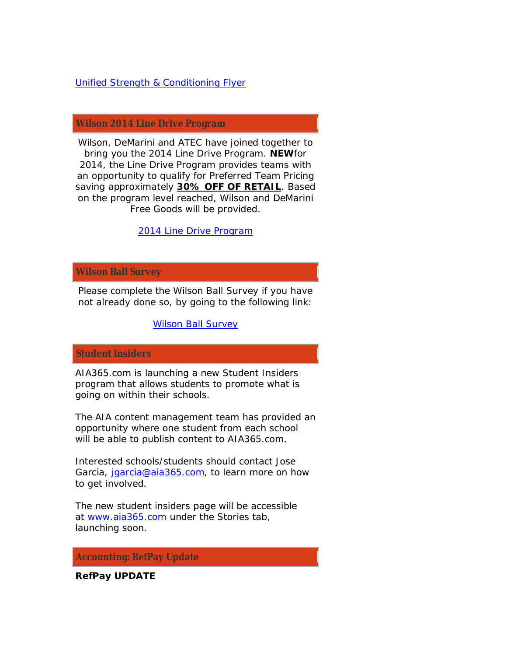## Unified Strength & Conditioning Flyer

## **Wilson 2014 Line Drive Program**

Wilson, DeMarini and ATEC have joined together to bring you the 2014 Line Drive Program. **NEW**for 2014, the Line Drive Program provides teams with an opportunity to qualify for Preferred Team Pricing saving approximately **30% OFF OF RETAIL**. Based on the program level reached, Wilson and DeMarini Free Goods will be provided.

2014 Line Drive Program

## **Wilson Ball Survey**

Please complete the Wilson Ball Survey if you have not already done so, by going to the following link:

Wilson Ball Survey

## **Student Insiders**

AIA365.com is launching a new Student Insiders program that allows students to promote what is going on within their schools.

The AIA content management team has provided an opportunity where one student from each school will be able to publish content to AIA365.com.

Interested schools/students should contact Jose Garcia, jaarcia@aia365.com, to learn more on how to get involved.

The new student insiders page will be accessible at www.aia365.com under the Stories tab, launching soon.

#### **Accounting: RefPay Update**

**RefPay UPDATE**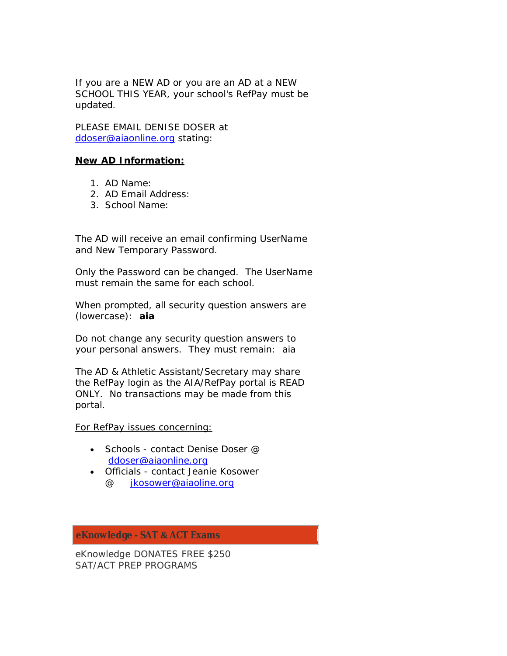If you are a NEW AD or you are an AD at a NEW SCHOOL THIS YEAR, your school's RefPay must be updated.

PLEASE EMAIL DENISE DOSER at ddoser@aiaonline.org stating:

#### **New AD Information:**

- 1. AD Name:
- 2. AD Email Address:
- 3. School Name:

The AD will receive an email confirming UserName and New Temporary Password.

Only the Password can be changed. The UserName must remain the same for each school.

When prompted, all security question answers are (lowercase): **aia**

Do not change any security question answers to your personal answers. *They must remain: aia*

The AD & Athletic Assistant/Secretary may share the RefPay login as the AIA/RefPay portal is READ ONLY. No transactions may be made from this portal.

For RefPay issues concerning:

- Schools contact Denise Doser  $@$ ddoser@aiaonline.org
- Officials contact Jeanie Kosower @ jkosower@aiaoline.org

**eKnowledge - SATƬACT Exams**

eKnowledge DONATES FREE \$250 SAT/ACT PREP PROGRAMS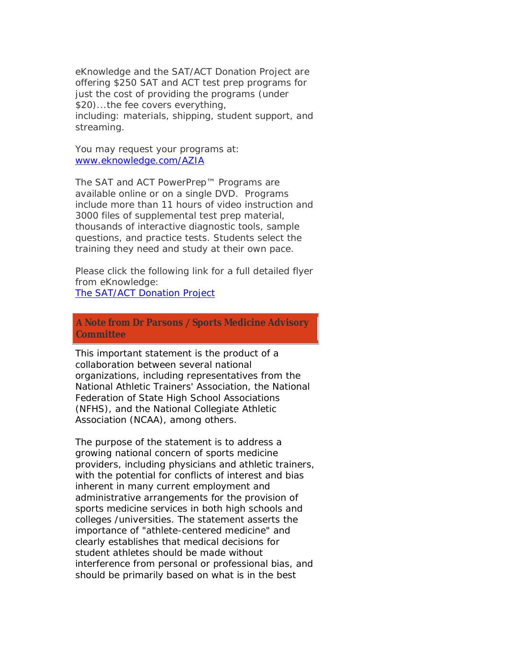eKnowledge and the SAT/ACT Donation Project are offering \$250 SAT and ACT test prep programs for just the cost of providing the programs (under \$20)...the fee covers everything, including: *materials, shipping, student support, and streaming.*

You may request your programs at: www.eknowledge.com/AZIA

The SAT and ACT PowerPrep™ Programs are available online or on a single DVD. Programs include more than 11 hours of video instruction and 3000 files of supplemental test prep material, thousands of interactive diagnostic tools, sample questions, and practice tests. Students select the training they need and study at their own pace.

Please click the following link for a full detailed flyer from eKnowledge:

The SAT/ACT Donation Project

**Note from Dr ParsonsȀSports Medicine Advisory Committee**

This important statement is the product of a collaboration between several national organizations, including representatives from the National Athletic Trainers' Association, the National Federation of State High School Associations (NFHS), and the National Collegiate Athletic Association (NCAA), among others.

The purpose of the statement is to address a growing national concern of sports medicine providers, including physicians and athletic trainers, with the potential for conflicts of interest and bias inherent in many current employment and administrative arrangements for the provision of sports medicine services in both high schools and colleges /universities. The statement asserts the importance of "athlete-centered medicine" and clearly establishes that medical decisions for student athletes should be made without interference from personal or professional bias, and should be primarily based on what is in the best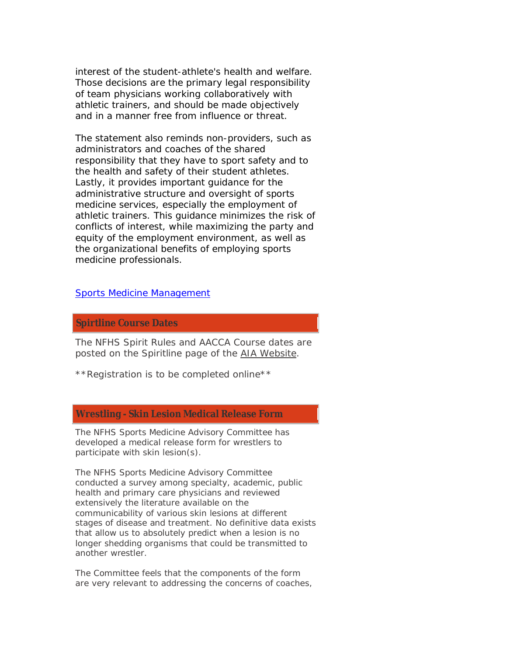interest of the student-athlete's health and welfare. Those decisions are the primary legal responsibility of team physicians working collaboratively with athletic trainers, and should be made objectively and in a manner free from influence or threat.

The statement also reminds non-providers, such as administrators and coaches of the shared responsibility that they have to sport safety and to the health and safety of their student athletes. Lastly, it provides important guidance for the administrative structure and oversight of sports medicine services, especially the employment of athletic trainers. This guidance minimizes the risk of conflicts of interest, while maximizing the party and equity of the employment environment, as well as the organizational benefits of employing sports medicine professionals.

Sports Medicine Management

**Spirtline Course Dates**

The NFHS Spirit Rules and AACCA Course dates are posted on the Spiritline page of the AIA Website.

*\*\*Registration is to be completed online\*\**

## **Wrestling - Skin Lesion Medical Release Form**

The NFHS Sports Medicine Advisory Committee has developed a medical release form for wrestlers to participate with skin lesion(s).

The NFHS Sports Medicine Advisory Committee conducted a survey among specialty, academic, public health and primary care physicians and reviewed extensively the literature available on the communicability of various skin lesions at different stages of disease and treatment. No definitive data exists that allow us to absolutely predict when a lesion is no longer shedding organisms that could be transmitted to another wrestler.

The Committee feels that the components of the form are very relevant to addressing the concerns of coaches,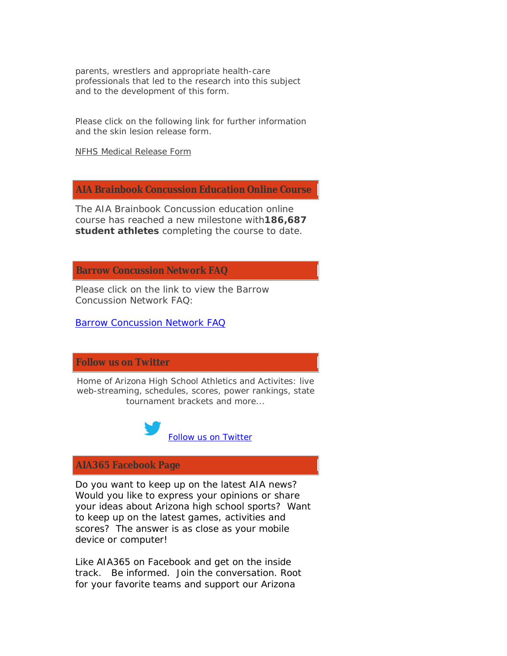parents, wrestlers and appropriate health-care professionals that led to the research into this subject and to the development of this form.

Please click on the following link for further information and the skin lesion release form.

NFHS Medical Release Form

**AIA Brainbook Concussion Education Online Course**

The AIA Brainbook Concussion education online course has reached a new milestone with**186,687 student athletes** completing the course to date.

**Barrow Concussion Network FAQ**

Please click on the link to view the Barrow Concussion Network FAQ:

Barrow Concussion Network FAQ

**Follow us on Twitter**

Home of Arizona High School Athletics and Activites: live web-streaming, schedules, scores, power rankings, state tournament brackets and more...



# **AIA365 Facebook Page**

Do you want to keep up on the latest AIA news? Would you like to express your opinions or share your ideas about Arizona high school sports? Want to keep up on the latest games, activities and scores? The answer is as close as your mobile device or computer!

Like AIA365 on Facebook and get on the inside track. Be informed. Join the conversation. Root for your favorite teams and support our Arizona